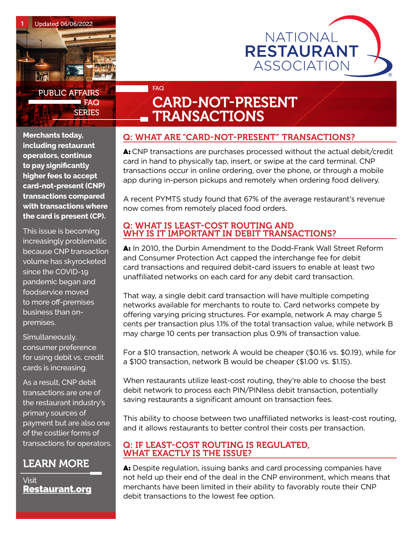



# FAQ CARD-NOT-PRESENT **TRANSACTIONS**

**Merchants today, including restaurant operators, continue to pay significantly higher fees to accept card-not-present (CNP) transactions compared with transactions where the card is present (CP).** 

This issue is becoming increasingly problematic because CNP transaction volume has skyrocketed since the COVID-19 pandemic began and foodservice moved to more off-premises business than onpremises.

Simultaneously, consumer preference for using debit vs. credit cards is increasing.

As a result, CNP debit transactions are one of the restaurant industry's primary sources of payment but are also one of the costlier forms of transactions for operators.

# LEARN MORE

Visit [Restaurant.org](http://www.Restaurant.org)

## Q: WHAT ARE "CARD-NOT-PRESENT" TRANSACTIONS?

A: CNP transactions are purchases processed without the actual debit/credit card in hand to physically tap, insert, or swipe at the card terminal. CNP transactions occur in online ordering, over the phone, or through a mobile app during in-person pickups and remotely when ordering food delivery.

A recent PYMTS study found that 67% of the average restaurant's revenue now comes from remotely placed food orders.

#### Q: WHAT IS LEAST-COST ROUTING AND WHY IS IT IMPORTANT IN DEBIT TRANSACTIONS?

A: In 2010, the Durbin Amendment to the Dodd-Frank Wall Street Reform and Consumer Protection Act capped the interchange fee for debit card transactions and required debit-card issuers to enable at least two unaffiliated networks on each card for any debit card transaction.

That way, a single debit card transaction will have multiple competing networks available for merchants to route to. Card networks compete by offering varying pricing structures. For example, network A may charge 5 cents per transaction plus 1.1% of the total transaction value, while network B may charge 10 cents per transaction plus 0.9% of transaction value.

For a \$10 transaction, network A would be cheaper (\$0.16 vs. \$0.19), while for a \$100 transaction, network B would be cheaper (\$1.00 vs. \$1.15).

When restaurants utilize least-cost routing, they're able to choose the best debit network to process each PIN/PINless debit transaction, potentially saving restaurants a significant amount on transaction fees.

This ability to choose between two unaffiliated networks is least-cost routing, and it allows restaurants to better control their costs per transaction.

#### Q: IF LEAST-COST ROUTING IS REGULATED, WHAT EXACTLY IS THE ISSUE?

A: Despite regulation, issuing banks and card processing companies have not held up their end of the deal in the CNP environment, which means that merchants have been limited in their ability to favorably route their CNP debit transactions to the lowest fee option.